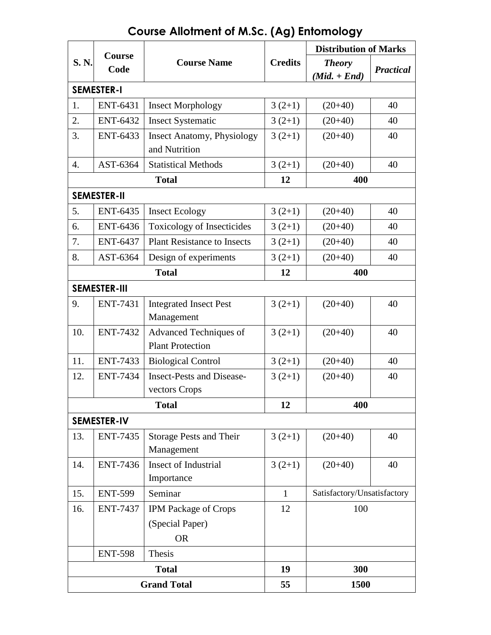| <b>S. N.</b>        | Course<br>Code  | <b>Course Name</b>                                          | <b>Credits</b> | <b>Distribution of Marks</b>    |                  |
|---------------------|-----------------|-------------------------------------------------------------|----------------|---------------------------------|------------------|
|                     |                 |                                                             |                | <b>Theory</b><br>$(Mid. + End)$ | <b>Practical</b> |
| <b>SEMESTER-I</b>   |                 |                                                             |                |                                 |                  |
| 1.                  | <b>ENT-6431</b> | <b>Insect Morphology</b>                                    | $3(2+1)$       | $(20+40)$                       | 40               |
| 2.                  | <b>ENT-6432</b> | <b>Insect Systematic</b>                                    | $3(2+1)$       | $(20+40)$                       | 40               |
| 3.                  | <b>ENT-6433</b> | <b>Insect Anatomy, Physiology</b><br>and Nutrition          | $3(2+1)$       | $(20+40)$                       | 40               |
| 4.                  | AST-6364        | <b>Statistical Methods</b>                                  | $3(2+1)$       | $(20+40)$                       | 40               |
|                     |                 | <b>Total</b>                                                | 12             | 400                             |                  |
| <b>SEMESTER-II</b>  |                 |                                                             |                |                                 |                  |
| 5.                  | <b>ENT-6435</b> | <b>Insect Ecology</b>                                       | $3(2+1)$       | $(20+40)$                       | 40               |
| 6.                  | <b>ENT-6436</b> | <b>Toxicology of Insecticides</b>                           | $3(2+1)$       | $(20+40)$                       | 40               |
| 7.                  | <b>ENT-6437</b> | <b>Plant Resistance to Insects</b>                          | $3(2+1)$       | $(20+40)$                       | 40               |
| 8.                  | AST-6364        | Design of experiments                                       | $3(2+1)$       | $(20+40)$                       | 40               |
|                     |                 | <b>Total</b>                                                | 12             | 400                             |                  |
| <b>SEMESTER-III</b> |                 |                                                             |                |                                 |                  |
| 9.                  | <b>ENT-7431</b> | <b>Integrated Insect Pest</b><br>Management                 | $3(2+1)$       | $(20+40)$                       | 40               |
| 10.                 | <b>ENT-7432</b> | Advanced Techniques of<br><b>Plant Protection</b>           | $3(2+1)$       | $(20+40)$                       | 40               |
| 11.                 | <b>ENT-7433</b> | <b>Biological Control</b>                                   | $3(2+1)$       | $(20+40)$                       | 40               |
| 12.                 | <b>ENT-7434</b> | <b>Insect-Pests and Disease-</b><br>vectors Crops           | $3(2+1)$       | $(20+40)$                       | 40               |
|                     |                 | <b>Total</b>                                                | 12             | 400                             |                  |
| <b>SEMESTER-IV</b>  |                 |                                                             |                |                                 |                  |
| 13.                 | <b>ENT-7435</b> | <b>Storage Pests and Their</b><br>Management                | $3(2+1)$       | $(20+40)$                       | 40               |
| 14.                 | <b>ENT-7436</b> | <b>Insect of Industrial</b><br>Importance                   | $3(2+1)$       | $(20+40)$                       | 40               |
| 15.                 | <b>ENT-599</b>  | Seminar                                                     | $\mathbf{1}$   | Satisfactory/Unsatisfactory     |                  |
| 16.                 | <b>ENT-7437</b> | <b>IPM Package of Crops</b><br>(Special Paper)<br><b>OR</b> | 12             | 100                             |                  |
|                     | <b>ENT-598</b>  | Thesis                                                      |                |                                 |                  |
| <b>Total</b>        |                 |                                                             | 19             | 300                             |                  |
| <b>Grand Total</b>  |                 |                                                             | 55             | 1500                            |                  |

# **Course Allotment of M.Sc. (Ag) Entomology**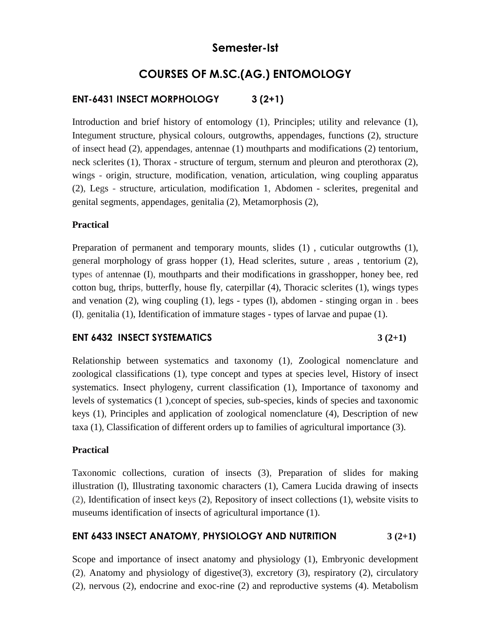## **Semester-Ist**

## **COURSES OF M.SC.(AG.) ENTOMOLOGY**

## **ENT-6431 INSECT MORPHOLOGY 3 (2+1)**

Introduction and brief history of entomology (1), Principles; utility and relevance (1), Integument structure, physical colours, outgrowths, appendages, functions (2), structure of insect head (2), appendages, antennae (1) mouthparts and modifications (2) tentorium, neck sclerites (1), Thorax - structure of tergum, sternum and pleuron and pterothorax (2), wings - origin, structure, modification, venation, articulation, wing coupling apparatus (2), Legs - structure, articulation, modification 1, Abdomen - sclerites, pregenital and genital segments, appendages, genitalia (2), Metamorphosis (2),

### **Practical**

Preparation of permanent and temporary mounts, slides (1) , cuticular outgrowths (1), general morphology of grass hopper (1), Head sclerites, suture , areas , tentorium (2), types of antennae (I), mouthparts and their modifications in grasshopper, honey bee, red cotton bug, thrips, butterfly, house fly, caterpillar (4), Thoracic sclerites (1), wings types and venation (2), wing coupling (1), legs - types (l), abdomen - stinging organ in . bees (I), genitalia (1), Identification of immature stages - types of larvae and pupae (1).

### **ENT 6432 INSECT SYSTEMATICS 3 (2+1)**

Relationship between systematics and taxonomy (1), Zoological nomenclature and zoological classifications (1), type concept and types at species level, History of insect systematics. Insect phylogeny, current classification (1), Importance of taxonomy and levels of systematics (1 ),concept of species, sub-species, kinds of species and taxonomic keys (1), Principles and application of zoological nomenclature (4), Description of new taxa (1), Classification of different orders up to families of agricultural importance (3).

### **Practical**

Taxonomic collections, curation of insects (3), Preparation of slides for making illustration (l), Illustrating taxonomic characters (1), Camera Lucida drawing of insects (2), Identification of insect keys (2), Repository of insect collections (1), website visits to museums identification of insects of agricultural importance (1).

## **ENT 6433 INSECT ANATOMY, PHYSIOLOGY AND NUTRITION 3 (2+1)**

Scope and importance of insect anatomy and physiology (1), Embryonic development (2), Anatomy and physiology of digestive(3), excretory (3), respiratory (2), circulatory (2), nervous (2), endocrine and exoc-rine (2) and reproductive systems (4). Metabolism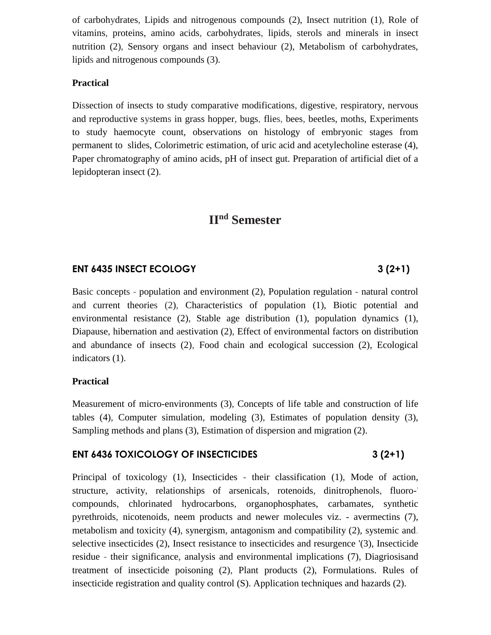of carbohydrates, Lipids and nitrogenous compounds (2), Insect nutrition (1), Role of vitamins, proteins, amino acids, carbohydrates, lipids, sterols and minerals in insect nutrition (2), Sensory organs and insect behaviour (2), Metabolism of carbohydrates, lipids and nitrogenous compounds (3).

## **Practical**

Dissection of insects to study comparative modifications, digestive, respiratory, nervous and reproductive systems in grass hopper, bugs, flies, bees, beetles, moths, Experiments to study haemocyte count, observations on histology of embryonic stages from permanent to slides, Colorimetric estimation, of uric acid and acetylecholine esterase (4), Paper chromatography of amino acids, pH of insect gut. Preparation of artificial diet of a lepidopteran insect (2).

## **IInd Semester**

## **ENT 6435 INSECT ECOLOGY 3 (2+1)**

Basic concepts - population and environment (2), Population regulation - natural control and current theories (2), Characteristics of population (1), Biotic potential and environmental resistance (2), Stable age distribution (1), population dynamics (1), Diapause, hibernation and aestivation (2), Effect of environmental factors on distribution and abundance of insects (2), Food chain and ecological succession (2), Ecological indicators (1).

## **Practical**

Measurement of micro-environments (3), Concepts of life table and construction of life tables (4), Computer simulation, modeling (3), Estimates of population density (3), Sampling methods and plans (3), Estimation of dispersion and migration (2).

## **ENT 6436 TOXICOLOGY OF INSECTICIDES** 3 (2+1)

Principal of toxicology (1), Insecticides - their classification (1), Mode of action, structure, activity, relationships of arsenicals, rotenoids, dinitrophenols, fluoro-' compounds, chlorinated hydrocarbons, organophosphates, carbamates, synthetic pyrethroids, nicotenoids, neem products and newer molecules viz. - avermectins (7), metabolism and toxicity (4), synergism, antagonism and compatibility (2), systemic and. selective insecticides (2), Insect resistance to insecticides and resurgence '(3), Insecticide residue - their significance, analysis and environmental implications (7), Diagriosisand treatment of insecticide poisoning (2), Plant products (2), Formulations. Rules of insecticide registration and quality control (S). Application techniques and hazards (2).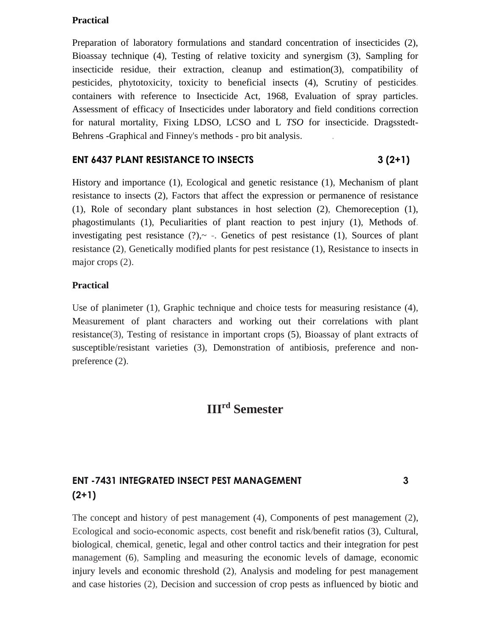## **Practical**

Preparation of laboratory formulations and standard concentration of insecticides (2), Bioassay technique (4), Testing of relative toxicity and synergism (3), Sampling for insecticide residue, their extraction, cleanup and estimation(3), compatibility of pesticides, phytotoxicity, toxicity to beneficial insects (4), Scrutiny of pesticides. containers with reference to Insecticide Act, 1968, Evaluation of spray particles. Assessment of efficacy of Insecticides under laboratory and field conditions correction for natural mortality, Fixing LDSO, LCSO and L *TSO* for insecticide. Dragsstedt-Behrens -Graphical and Finney's methods - pro bit analysis. .

### **ENT 6437 PLANT RESISTANCE TO INSECTS** 3 (2+1)

History and importance (1), Ecological and genetic resistance (1), Mechanism of plant resistance to insects (2), Factors that affect the expression or permanence of resistance (1), Role of secondary plant substances in host selection (2), Chemoreception (1), phagostimulants (1), Peculiarities of plant reaction to pest injury (1), Methods of. investigating pest resistance  $(?)_{\sim}$  -. Genetics of pest resistance  $(1)$ , Sources of plant resistance (2), Genetically modified plants for pest resistance (1), Resistance to insects in major crops  $(2)$ .

### **Practical**

Use of planimeter (1), Graphic technique and choice tests for measuring resistance (4), Measurement of plant characters and working out their correlations with plant resistance(3), Testing of resistance in important crops (5), Bioassay of plant extracts of susceptible/resistant varieties (3), Demonstration of antibiosis, preference and nonpreference (2).

## **III rd Semester**

## **ENT -7431 INTEGRATED INSECT PEST MANAGEMENT 3 (2+1)**

The concept and history of pest management (4), Components of pest management (2), Ecological and socio-economic aspects, cost benefit and risk/benefit ratios (3), Cultural, biological, chemical, genetic, legal and other control tactics and their integration for pest management (6), Sampling and measuring the economic levels of damage, economic injury levels and economic threshold (2), Analysis and modeling for pest management and case histories (2), Decision and succession of crop pests as influenced by biotic and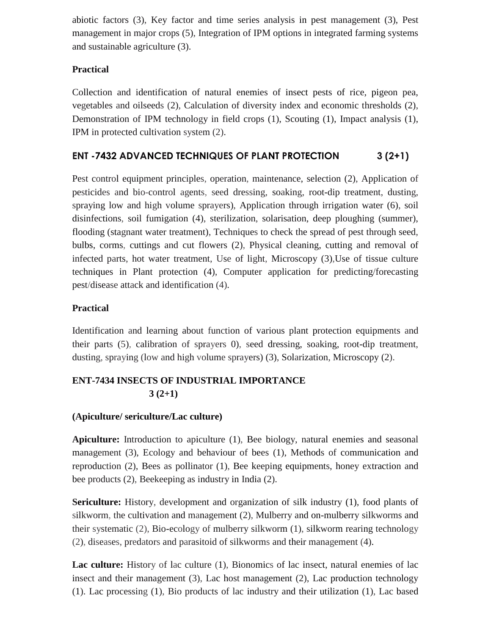abiotic factors (3), Key factor and time series analysis in pest management (3), Pest management in major crops (5), Integration of IPM options in integrated farming systems and sustainable agriculture (3).

## **Practical**

Collection and identification of natural enemies of insect pests of rice, pigeon pea, vegetables and oilseeds (2), Calculation of diversity index and economic thresholds (2), Demonstration of IPM technology in field crops (1), Scouting (1), Impact analysis (1), IPM in protected cultivation system (2).

## **ENT -7432 ADVANCED TECHNIQUES OF PLANT PROTECTION 3 (2+1)**

Pest control equipment principles, operation, maintenance, selection (2), Application of pesticides and bio-control agents, seed dressing, soaking, root-dip treatment, dusting, spraying low and high volume sprayers), Application through irrigation water (6), soil disinfections, soil fumigation (4), sterilization, solarisation, deep ploughing (summer), flooding (stagnant water treatment), Techniques to check the spread of pest through seed, bulbs, corms, cuttings and cut flowers (2), Physical cleaning, cutting and removal of infected parts, hot water treatment, Use of light, Microscopy (3),Use of tissue culture techniques in Plant protection (4), Computer application for predicting/forecasting pest/disease attack and identification (4).

## **Practical**

Identification and learning about function of various plant protection equipments and their parts (5), calibration of sprayers 0), seed dressing, soaking, root-dip treatment, dusting, spraying (low and high volume sprayers) (3), Solarization, Microscopy (2).

## **ENT-7434 INSECTS OF INDUSTRIAL IMPORTANCE**   $3(2+1)$

## **(Apiculture/ sericulture/Lac culture)**

**Apiculture:** Introduction to apiculture (1), Bee biology, natural enemies and seasonal management (3), Ecology and behaviour of bees (1), Methods of communication and reproduction (2), Bees as pollinator (1), Bee keeping equipments, honey extraction and bee products (2), Beekeeping as industry in India (2).

**Sericulture:** History, development and organization of silk industry (1), food plants of silkworm, the cultivation and management (2), Mulberry and on-mulberry silkworms and their systematic (2), Bio-ecology of mulberry silkworm (1), silkworm rearing technology (2), diseases, predators and parasitoid of silkworms and their management (4).

**Lac culture:** History of lac culture (1), Bionomics of lac insect, natural enemies of lac insect and their management (3), Lac host management (2), Lac production technology (1). Lac processing (1), Bio products of lac industry and their utilization (1), Lac based